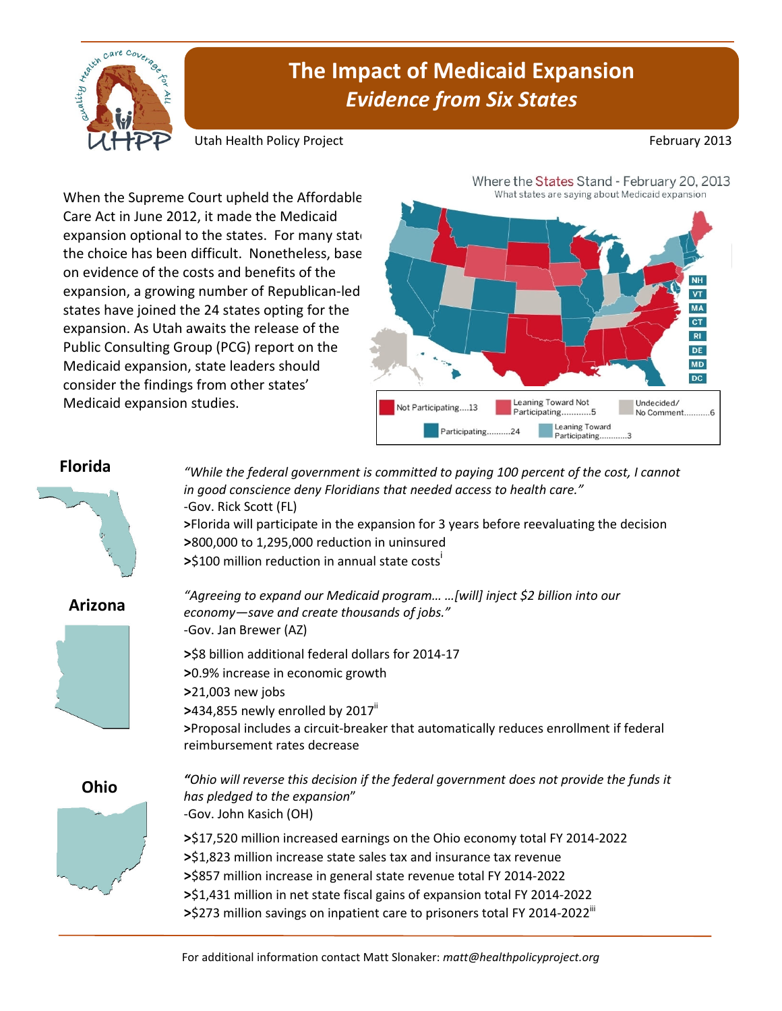

## **The Impact of Medicaid Expansion**  *Evidence from Six States*

Utah Health Policy Project **February 2013 February 2013** 

When the Supreme Court upheld the Affordable Care Act in June 2012, it made the Medicaid expansion optional to the states. For many states the choice has been difficult. Nonetheless, base on evidence of the costs and benefits of the expansion, a growing number of Republican-led states have joined the 24 states opting for the expansion. As Utah awaits the release of the Public Consulting Group (PCG) report on the Medicaid expansion, state leaders should consider the findings from other states' Medicaid expansion studies.



## **Florida**



**>**Florida will participate in the expansion for 3 years before reevaluating the decision

**>**Proposal includes a circuit-breaker that automatically reduces enrollment if federal



*"Ohio will reverse this decision if the federal government does not provide the funds it*  **>**\$17,520 million increased earnings on the Ohio economy total FY 2014-2022

- **>**\$1,823 million increase state sales tax and insurance tax revenue
- **>**\$857 million increase in general state revenue total FY 2014-2022
- **>**\$1,431 million in net state fiscal gains of expansion total FY 2014-2022 >\$273 million savings on inpatient care to prisoners total FY 2014-2022<sup>III</sup>